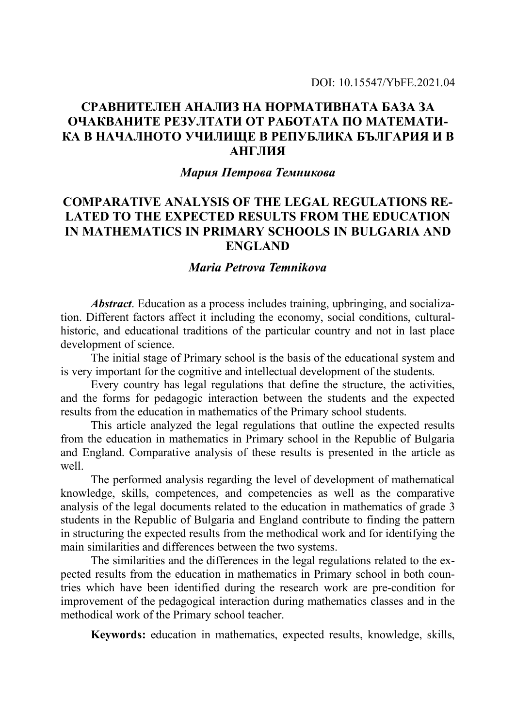# **СРАВНИТЕЛЕН АНАЛИЗ НА НОРМАТИВНАТА БАЗА ЗА ОЧАКВАНИТЕ РЕЗУЛТАТИ ОТ РАБОТАТА ПО МАТЕМАТИ-КА В НАЧАЛНОТО УЧИЛИЩЕ В РЕПУБЛИКА БЪЛГАРИЯ И В АНГЛИЯ**

#### *Мария Петрова Темникова*

# **COMPARATIVE ANALYSIS OF THE LEGAL REGULATIONS RE-LATED TO THE EXPECTED RESULTS FROM THE EDUCATION IN MATHEMATICS IN PRIMARY SCHOOLS IN BULGARIA AND ENGLAND**

#### *Maria Petrova Temnikova*

*Abstract*. Education as a process includes training, upbringing, and socialization. Different factors affect it including the economy, social conditions, culturalhistoric, and educational traditions of the particular country and not in last place development of science.

The initial stage of Primary school is the basis of the educational system and is very important for the cognitive and intellectual development of the students.

Every country has legal regulations that define the structure, the activities, and the forms for pedagogic interaction between the students and the expected results from the education in mathematics of the Primary school students.

This article analyzed the legal regulations that outline the expected results from the education in mathematics in Primary school in the Republic of Bulgaria and England. Comparative analysis of these results is presented in the article as well.

The performed analysis regarding the level of development of mathematical knowledge, skills, competences, and competencies as well as the comparative analysis of the legal documents related to the education in mathematics of grade 3 students in the Republic of Bulgaria and England contribute to finding the pattern in structuring the expected results from the methodical work and for identifying the main similarities and differences between the two systems.

The similarities and the differences in the legal regulations related to the expected results from the education in mathematics in Primary school in both countries which have been identified during the research work are pre-condition for improvement of the pedagogical interaction during mathematics classes and in the methodical work of the Primary school teacher.

**Keywords:** education in mathematics, expected results, knowledge, skills,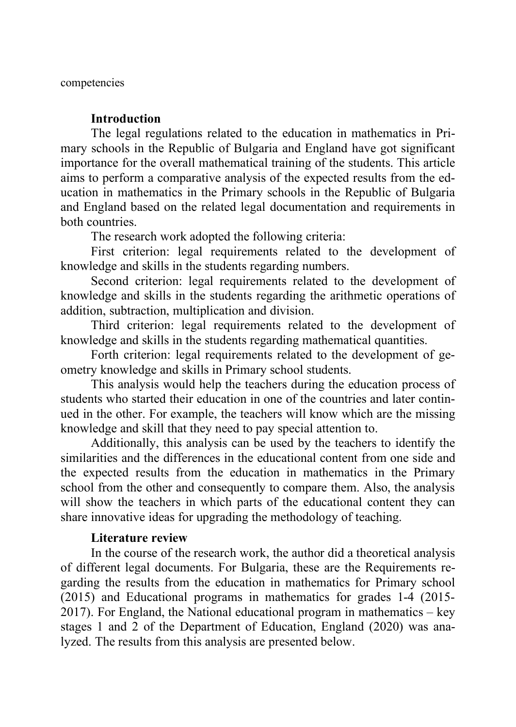competencies

### **Introduction**

The legal regulations related to the education in mathematics in Primary schools in the Republic of Bulgaria and England have got significant importance for the overall mathematical training of the students. This article aims to perform a comparative analysis of the expected results from the education in mathematics in the Primary schools in the Republic of Bulgaria and England based on the related legal documentation and requirements in both countries.

The research work adopted the following criteria:

First criterion: legal requirements related to the development of knowledge and skills in the students regarding numbers.

Second criterion: legal requirements related to the development of knowledge and skills in the students regarding the arithmetic operations of addition, subtraction, multiplication and division.

Third criterion: legal requirements related to the development of knowledge and skills in the students regarding mathematical quantities.

Forth criterion: legal requirements related to the development of geometry knowledge and skills in Primary school students.

This analysis would help the teachers during the education process of students who started their education in one of the countries and later continued in the other. For example, the teachers will know which are the missing knowledge and skill that they need to pay special attention to.

Additionally, this analysis can be used by the teachers to identify the similarities and the differences in the educational content from one side and the expected results from the education in mathematics in the Primary school from the other and consequently to compare them. Also, the analysis will show the teachers in which parts of the educational content they can share innovative ideas for upgrading the methodology of teaching.

# **Literature review**

In the course of the research work, the author did a theoretical analysis of different legal documents. For Bulgaria, these are the Requirements regarding the results from the education in mathematics for Primary school (2015) and Educational programs in mathematics for grades 1-4 (2015- 2017). For England, the National educational program in mathematics – key stages 1 and 2 of the Department of Education, England (2020) was analyzed. The results from this analysis are presented below.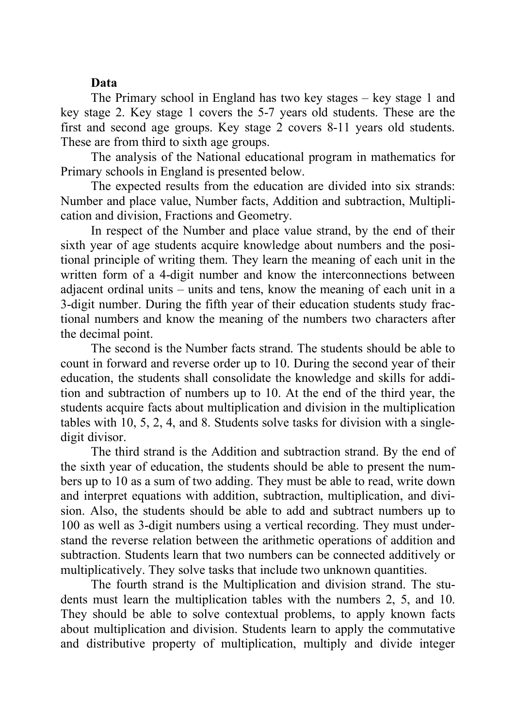### **Data**

The Primary school in England has two key stages – key stage 1 and key stage 2. Key stage 1 covers the 5-7 years old students. These are the first and second age groups. Key stage 2 covers 8-11 years old students. These are from third to sixth age groups.

The analysis of the National educational program in mathematics for Primary schools in England is presented below.

The expected results from the education are divided into six strands: Number and place value, Number facts, Addition and subtraction, Multiplication and division, Fractions and Geometry.

In respect of the Number and place value strand, by the end of their sixth year of age students acquire knowledge about numbers and the positional principle of writing them. They learn the meaning of each unit in the written form of a 4-digit number and know the interconnections between adjacent ordinal units – units and tens, know the meaning of each unit in a 3-digit number. During the fifth year of their education students study fractional numbers and know the meaning of the numbers two characters after the decimal point.

The second is the Number facts strand. The students should be able to count in forward and reverse order up to 10. During the second year of their education, the students shall consolidate the knowledge and skills for addition and subtraction of numbers up to 10. At the end of the third year, the students acquire facts about multiplication and division in the multiplication tables with 10, 5, 2, 4, and 8. Students solve tasks for division with a singledigit divisor.

The third strand is the Addition and subtraction strand. By the end of the sixth year of education, the students should be able to present the numbers up to 10 as a sum of two adding. They must be able to read, write down and interpret equations with addition, subtraction, multiplication, and division. Also, the students should be able to add and subtract numbers up to 100 as well as 3-digit numbers using a vertical recording. They must understand the reverse relation between the arithmetic operations of addition and subtraction. Students learn that two numbers can be connected additively or multiplicatively. They solve tasks that include two unknown quantities.

The fourth strand is the Multiplication and division strand. The students must learn the multiplication tables with the numbers 2, 5, and 10. They should be able to solve contextual problems, to apply known facts about multiplication and division. Students learn to apply the commutative and distributive property of multiplication, multiply and divide integer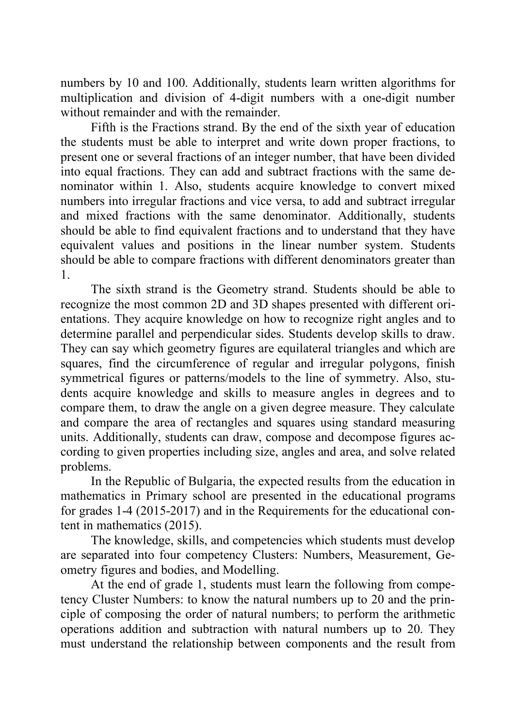numbers by 10 and 100. Additionally, students learn written algorithms for multiplication and division of 4-digit numbers with a one-digit number without remainder and with the remainder.

Fifth is the Fractions strand. By the end of the sixth year of education the students must be able to interpret and write down proper fractions, to present one or several fractions of an integer number, that have been divided into equal fractions. They can add and subtract fractions with the same denominator within 1. Also, students acquire knowledge to convert mixed numbers into irregular fractions and vice versa, to add and subtract irregular and mixed fractions with the same denominator. Additionally, students should be able to find equivalent fractions and to understand that they have equivalent values and positions in the linear number system. Students should be able to compare fractions with different denominators greater than 1.

The sixth strand is the Geometry strand. Students should be able to recognize the most common 2D and 3D shapes presented with different orientations. They acquire knowledge on how to recognize right angles and to determine parallel and perpendicular sides. Students develop skills to draw. They can say which geometry figures are equilateral triangles and which are squares, find the circumference of regular and irregular polygons, finish symmetrical figures or patterns/models to the line of symmetry. Also, students acquire knowledge and skills to measure angles in degrees and to compare them, to draw the angle on a given degree measure. They calculate and compare the area of rectangles and squares using standard measuring units. Additionally, students can draw, compose and decompose figures according to given properties including size, angles and area, and solve related problems.

In the Republic of Bulgaria, the expected results from the education in mathematics in Primary school are presented in the educational programs for grades 1-4 (2015-2017) and in the Requirements for the educational content in mathematics (2015).

The knowledge, skills, and competencies which students must develop are separated into four competency Clusters: Numbers, Measurement, Geometry figures and bodies, and Modelling.

At the end of grade 1, students must learn the following from competency Cluster Numbers: to know the natural numbers up to 20 and the principle of composing the order of natural numbers; to perform the arithmetic operations addition and subtraction with natural numbers up to 20. They must understand the relationship between components and the result from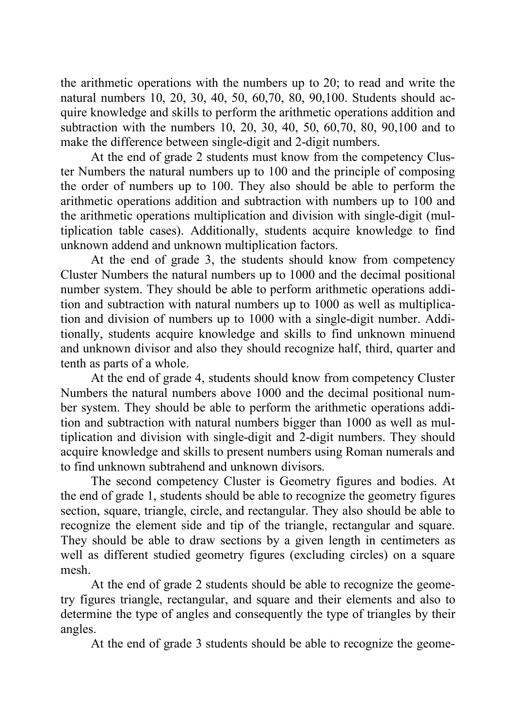the arithmetic operations with the numbers up to 20; to read and write the natural numbers 10, 20, 30, 40, 50, 60,70, 80, 90,100. Students should acquire knowledge and skills to perform the arithmetic operations addition and subtraction with the numbers 10, 20, 30, 40, 50, 60,70, 80, 90,100 and to make the difference between single-digit and 2-digit numbers.

At the end of grade 2 students must know from the competency Cluster Numbers the natural numbers up to 100 and the principle of composing the order of numbers up to 100. They also should be able to perform the arithmetic operations addition and subtraction with numbers up to 100 and the arithmetic operations multiplication and division with single-digit (multiplication table cases). Additionally, students acquire knowledge to find unknown addend and unknown multiplication factors.

At the end of grade 3, the students should know from competency Cluster Numbers the natural numbers up to 1000 and the decimal positional number system. They should be able to perform arithmetic operations addition and subtraction with natural numbers up to 1000 as well as multiplication and division of numbers up to 1000 with a single-digit number. Additionally, students acquire knowledge and skills to find unknown minuend and unknown divisor and also they should recognize half, third, quarter and tenth as parts of a whole.

At the end of grade 4, students should know from competency Cluster Numbers the natural numbers above 1000 and the decimal positional number system. They should be able to perform the arithmetic operations addition and subtraction with natural numbers bigger than 1000 as well as multiplication and division with single-digit and 2-digit numbers. They should acquire knowledge and skills to present numbers using Roman numerals and to find unknown subtrahend and unknown divisors.

The second competency Cluster is Geometry figures and bodies. At the end of grade 1, students should be able to recognize the geometry figures section, square, triangle, circle, and rectangular. They also should be able to recognize the element side and tip of the triangle, rectangular and square. They should be able to draw sections by a given length in centimeters as well as different studied geometry figures (excluding circles) on a square mesh.

At the end of grade 2 students should be able to recognize the geometry figures triangle, rectangular, and square and their elements and also to determine the type of angles and consequently the type of triangles by their angles.

At the end of grade 3 students should be able to recognize the geome-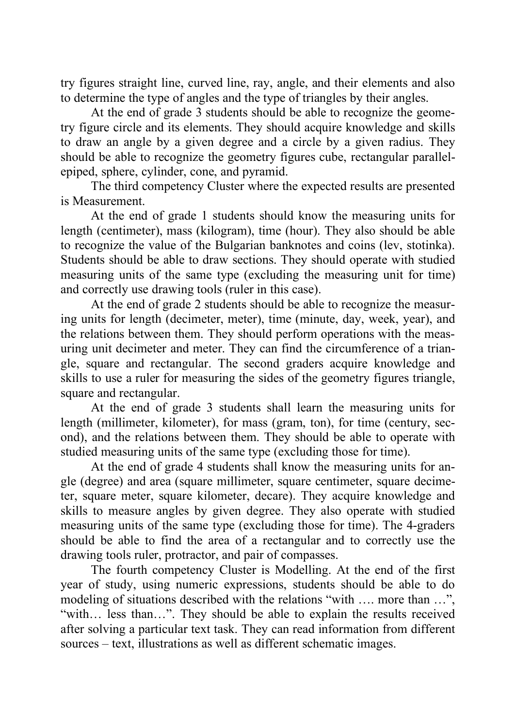try figures straight line, curved line, ray, angle, and their elements and also to determine the type of angles and the type of triangles by their angles.

At the end of grade 3 students should be able to recognize the geometry figure circle and its elements. They should acquire knowledge and skills to draw an angle by a given degree and a circle by a given radius. They should be able to recognize the geometry figures cube, rectangular parallelepiped, sphere, cylinder, cone, and pyramid.

The third competency Cluster where the expected results are presented is Measurement.

At the end of grade 1 students should know the measuring units for length (centimeter), mass (kilogram), time (hour). They also should be able to recognize the value of the Bulgarian banknotes and coins (lev, stotinka). Students should be able to draw sections. They should operate with studied measuring units of the same type (excluding the measuring unit for time) and correctly use drawing tools (ruler in this case).

At the end of grade 2 students should be able to recognize the measuring units for length (decimeter, meter), time (minute, day, week, year), and the relations between them. They should perform operations with the measuring unit decimeter and meter. They can find the circumference of a triangle, square and rectangular. The second graders acquire knowledge and skills to use a ruler for measuring the sides of the geometry figures triangle, square and rectangular.

At the end of grade 3 students shall learn the measuring units for length (millimeter, kilometer), for mass (gram, ton), for time (century, second), and the relations between them. They should be able to operate with studied measuring units of the same type (excluding those for time).

At the end of grade 4 students shall know the measuring units for angle (degree) and area (square millimeter, square centimeter, square decimeter, square meter, square kilometer, decare). They acquire knowledge and skills to measure angles by given degree. They also operate with studied measuring units of the same type (excluding those for time). The 4-graders should be able to find the area of a rectangular and to correctly use the drawing tools ruler, protractor, and pair of compasses.

The fourth competency Cluster is Modelling. At the end of the first year of study, using numeric expressions, students should be able to do modeling of situations described with the relations "with .... more than ...", "with… less than…". They should be able to explain the results received after solving a particular text task. They can read information from different sources – text, illustrations as well as different schematic images.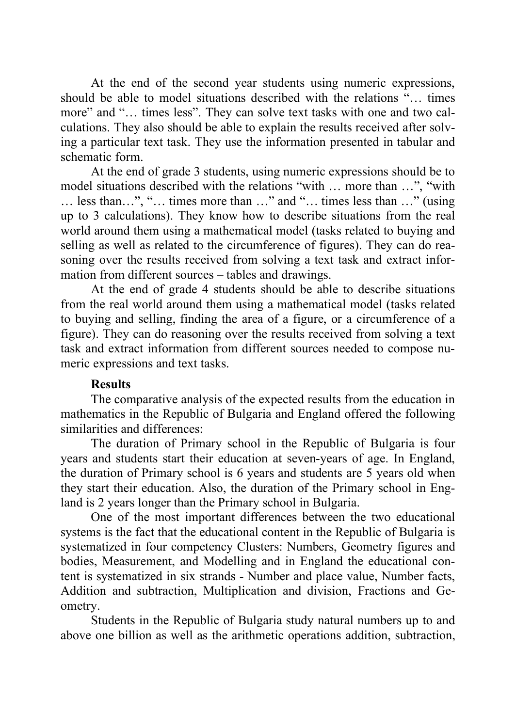At the end of the second year students using numeric expressions, should be able to model situations described with the relations "… times more" and "… times less". They can solve text tasks with one and two calculations. They also should be able to explain the results received after solving a particular text task. They use the information presented in tabular and schematic form.

At the end of grade 3 students, using numeric expressions should be to model situations described with the relations "with … more than …", "with … less than…", "… times more than …" and "… times less than …" (using up to 3 calculations). They know how to describe situations from the real world around them using a mathematical model (tasks related to buying and selling as well as related to the circumference of figures). They can do reasoning over the results received from solving a text task and extract information from different sources – tables and drawings.

At the end of grade 4 students should be able to describe situations from the real world around them using a mathematical model (tasks related to buying and selling, finding the area of a figure, or a circumference of a figure). They can do reasoning over the results received from solving a text task and extract information from different sources needed to compose numeric expressions and text tasks.

# **Results**

The comparative analysis of the expected results from the education in mathematics in the Republic of Bulgaria and England offered the following similarities and differences:

The duration of Primary school in the Republic of Bulgaria is four years and students start their education at seven-years of age. In England, the duration of Primary school is 6 years and students are 5 years old when they start their education. Also, the duration of the Primary school in England is 2 years longer than the Primary school in Bulgaria.

One of the most important differences between the two educational systems is the fact that the educational content in the Republic of Bulgaria is systematized in four competency Clusters: Numbers, Geometry figures and bodies, Measurement, and Modelling and in England the educational content is systematized in six strands - Number and place value, Number facts, Addition and subtraction, Multiplication and division, Fractions and Geometry.

Students in the Republic of Bulgaria study natural numbers up to and above one billion as well as the arithmetic operations addition, subtraction,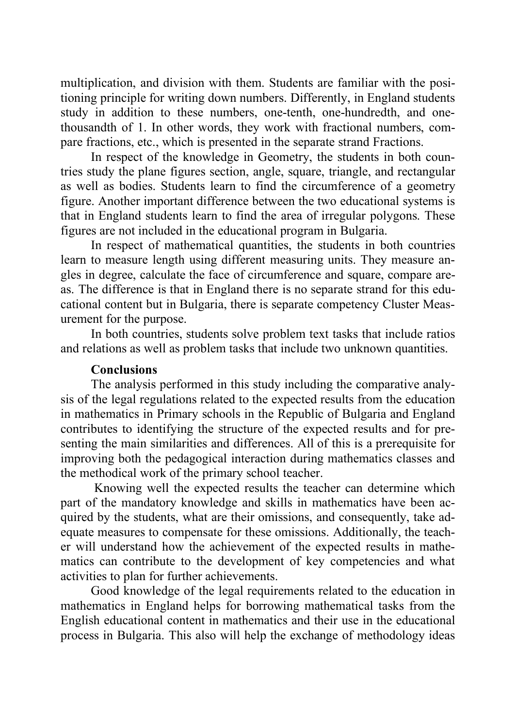multiplication, and division with them. Students are familiar with the positioning principle for writing down numbers. Differently, in England students study in addition to these numbers, one-tenth, one-hundredth, and onethousandth of 1. In other words, they work with fractional numbers, compare fractions, etc., which is presented in the separate strand Fractions.

In respect of the knowledge in Geometry, the students in both countries study the plane figures section, angle, square, triangle, and rectangular as well as bodies. Students learn to find the circumference of a geometry figure. Another important difference between the two educational systems is that in England students learn to find the area of irregular polygons. These figures are not included in the educational program in Bulgaria.

In respect of mathematical quantities, the students in both countries learn to measure length using different measuring units. They measure angles in degree, calculate the face of circumference and square, compare areas. The difference is that in England there is no separate strand for this educational content but in Bulgaria, there is separate competency Cluster Measurement for the purpose.

In both countries, students solve problem text tasks that include ratios and relations as well as problem tasks that include two unknown quantities.

## **Conclusions**

The analysis performed in this study including the comparative analysis of the legal regulations related to the expected results from the education in mathematics in Primary schools in the Republic of Bulgaria and England contributes to identifying the structure of the expected results and for presenting the main similarities and differences. All of this is a prerequisite for improving both the pedagogical interaction during mathematics classes and the methodical work of the primary school teacher.

Knowing well the expected results the teacher can determine which part of the mandatory knowledge and skills in mathematics have been acquired by the students, what are their omissions, and consequently, take adequate measures to compensate for these omissions. Additionally, the teacher will understand how the achievement of the expected results in mathematics can contribute to the development of key competencies and what activities to plan for further achievements.

Good knowledge of the legal requirements related to the education in mathematics in England helps for borrowing mathematical tasks from the English educational content in mathematics and their use in the educational process in Bulgaria. This also will help the exchange of methodology ideas